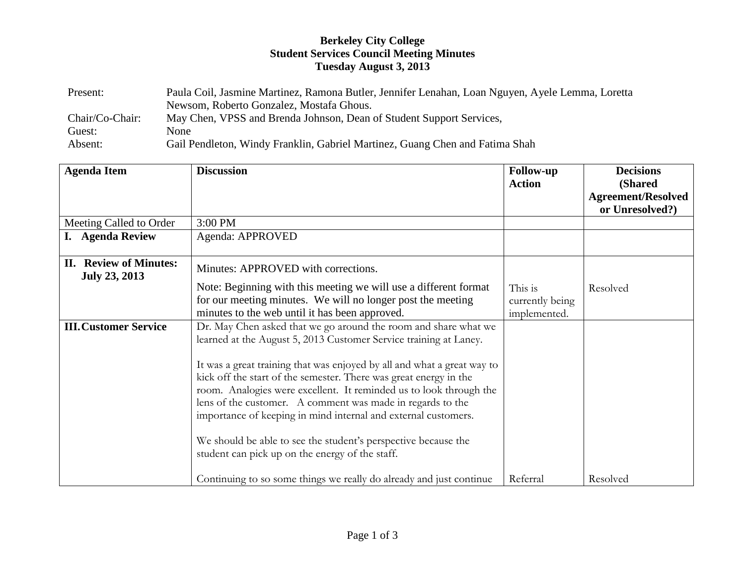## **Berkeley City College Student Services Council Meeting Minutes Tuesday August 3, 2013**

| Present:        | Paula Coil, Jasmine Martinez, Ramona Butler, Jennifer Lenahan, Loan Nguyen, Ayele Lemma, Loretta |
|-----------------|--------------------------------------------------------------------------------------------------|
|                 | Newsom, Roberto Gonzalez, Mostafa Ghous.                                                         |
| Chair/Co-Chair: | May Chen, VPSS and Brenda Johnson, Dean of Student Support Services,                             |
| Guest:          | None                                                                                             |
| Absent:         | Gail Pendleton, Windy Franklin, Gabriel Martinez, Guang Chen and Fatima Shah                     |

| <b>Agenda Item</b>                                      | <b>Discussion</b>                                                       | <b>Follow-up</b><br><b>Action</b> | <b>Decisions</b><br>(Shared                  |
|---------------------------------------------------------|-------------------------------------------------------------------------|-----------------------------------|----------------------------------------------|
|                                                         |                                                                         |                                   | <b>Agreement/Resolved</b><br>or Unresolved?) |
| Meeting Called to Order                                 | 3:00 PM                                                                 |                                   |                                              |
| I. Agenda Review                                        | Agenda: APPROVED                                                        |                                   |                                              |
| <b>Review of Minutes:</b><br>П.<br><b>July 23, 2013</b> | Minutes: APPROVED with corrections.                                     |                                   |                                              |
|                                                         | Note: Beginning with this meeting we will use a different format        | This is                           | Resolved                                     |
|                                                         | for our meeting minutes. We will no longer post the meeting             | currently being                   |                                              |
|                                                         | minutes to the web until it has been approved.                          | implemented.                      |                                              |
| <b>III. Customer Service</b>                            | Dr. May Chen asked that we go around the room and share what we         |                                   |                                              |
|                                                         | learned at the August 5, 2013 Customer Service training at Laney.       |                                   |                                              |
|                                                         |                                                                         |                                   |                                              |
|                                                         | It was a great training that was enjoyed by all and what a great way to |                                   |                                              |
|                                                         | kick off the start of the semester. There was great energy in the       |                                   |                                              |
|                                                         | room. Analogies were excellent. It reminded us to look through the      |                                   |                                              |
|                                                         | lens of the customer. A comment was made in regards to the              |                                   |                                              |
|                                                         | importance of keeping in mind internal and external customers.          |                                   |                                              |
|                                                         |                                                                         |                                   |                                              |
|                                                         | We should be able to see the student's perspective because the          |                                   |                                              |
|                                                         | student can pick up on the energy of the staff.                         |                                   |                                              |
|                                                         | Continuing to so some things we really do already and just continue     | Referral                          | Resolved                                     |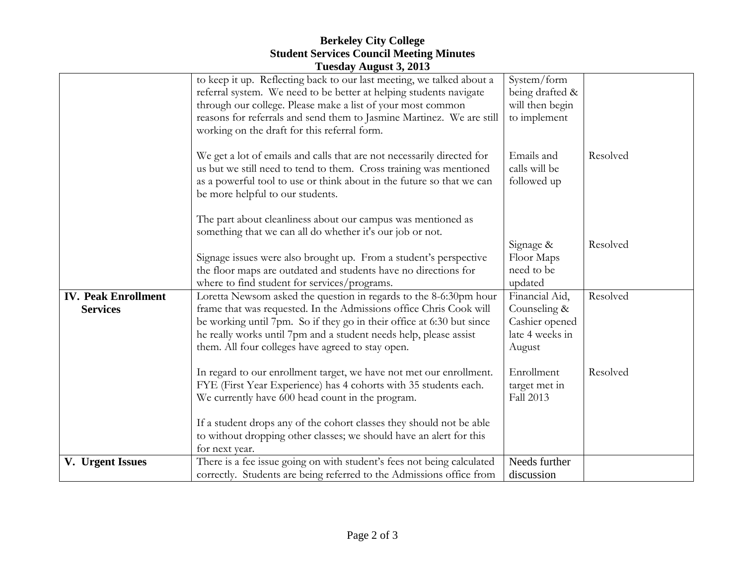## **Berkeley City College Student Services Council Meeting Minutes Tuesday August 3, 2013**

|                            | $\frac{1}{2}$ and $\frac{1}{2}$ and $\frac{1}{2}$ and $\frac{1}{2}$ and $\frac{1}{2}$ and $\frac{1}{2}$ and $\frac{1}{2}$ and $\frac{1}{2}$ and $\frac{1}{2}$ and $\frac{1}{2}$ and $\frac{1}{2}$ and $\frac{1}{2}$ and $\frac{1}{2}$ and $\frac{1}{2}$ and $\frac{1}{2}$ and $\frac{1}{2}$ a |                                                   |          |
|----------------------------|-----------------------------------------------------------------------------------------------------------------------------------------------------------------------------------------------------------------------------------------------------------------------------------------------|---------------------------------------------------|----------|
|                            | to keep it up. Reflecting back to our last meeting, we talked about a<br>referral system. We need to be better at helping students navigate<br>through our college. Please make a list of your most common                                                                                    | System/form<br>being drafted &<br>will then begin |          |
|                            | reasons for referrals and send them to Jasmine Martinez. We are still                                                                                                                                                                                                                         | to implement                                      |          |
|                            | working on the draft for this referral form.                                                                                                                                                                                                                                                  |                                                   |          |
|                            | We get a lot of emails and calls that are not necessarily directed for                                                                                                                                                                                                                        | Emails and<br>calls will be                       | Resolved |
|                            | us but we still need to tend to them. Cross training was mentioned                                                                                                                                                                                                                            | followed up                                       |          |
|                            | as a powerful tool to use or think about in the future so that we can<br>be more helpful to our students.                                                                                                                                                                                     |                                                   |          |
|                            |                                                                                                                                                                                                                                                                                               |                                                   |          |
|                            | The part about cleanliness about our campus was mentioned as                                                                                                                                                                                                                                  |                                                   |          |
|                            | something that we can all do whether it's our job or not.                                                                                                                                                                                                                                     |                                                   |          |
|                            |                                                                                                                                                                                                                                                                                               | Signage &                                         | Resolved |
|                            | Signage issues were also brought up. From a student's perspective                                                                                                                                                                                                                             | Floor Maps                                        |          |
|                            | the floor maps are outdated and students have no directions for                                                                                                                                                                                                                               | need to be                                        |          |
| <b>IV. Peak Enrollment</b> | where to find student for services/programs.                                                                                                                                                                                                                                                  | updated<br>Financial Aid,                         | Resolved |
| <b>Services</b>            | Loretta Newsom asked the question in regards to the 8-6:30pm hour<br>frame that was requested. In the Admissions office Chris Cook will                                                                                                                                                       | Counseling &                                      |          |
|                            | be working until 7pm. So if they go in their office at 6:30 but since                                                                                                                                                                                                                         | Cashier opened                                    |          |
|                            | he really works until 7pm and a student needs help, please assist                                                                                                                                                                                                                             | late 4 weeks in                                   |          |
|                            | them. All four colleges have agreed to stay open.                                                                                                                                                                                                                                             | August                                            |          |
|                            |                                                                                                                                                                                                                                                                                               |                                                   |          |
|                            | In regard to our enrollment target, we have not met our enrollment.                                                                                                                                                                                                                           | Enrollment                                        | Resolved |
|                            | FYE (First Year Experience) has 4 cohorts with 35 students each.                                                                                                                                                                                                                              | target met in                                     |          |
|                            | We currently have 600 head count in the program.                                                                                                                                                                                                                                              | Fall 2013                                         |          |
|                            |                                                                                                                                                                                                                                                                                               |                                                   |          |
|                            | If a student drops any of the cohort classes they should not be able                                                                                                                                                                                                                          |                                                   |          |
|                            | to without dropping other classes; we should have an alert for this                                                                                                                                                                                                                           |                                                   |          |
| V. Urgent Issues           | for next year.<br>There is a fee issue going on with student's fees not being calculated                                                                                                                                                                                                      | Needs further                                     |          |
|                            | correctly. Students are being referred to the Admissions office from                                                                                                                                                                                                                          | discussion                                        |          |
|                            |                                                                                                                                                                                                                                                                                               |                                                   |          |